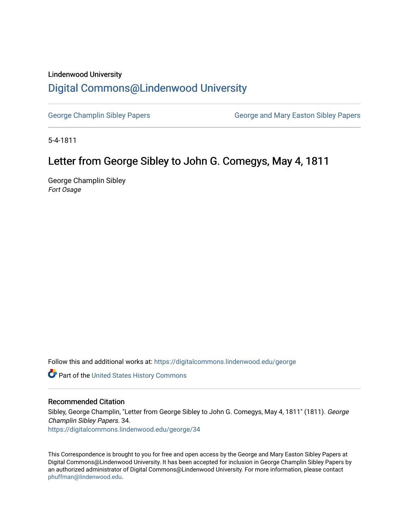## Lindenwood University

## [Digital Commons@Lindenwood University](https://digitalcommons.lindenwood.edu/)

[George Champlin Sibley Papers](https://digitalcommons.lindenwood.edu/george) George and Mary Easton Sibley Papers

5-4-1811

## Letter from George Sibley to John G. Comegys, May 4, 1811

George Champlin Sibley Fort Osage

Follow this and additional works at: [https://digitalcommons.lindenwood.edu/george](https://digitalcommons.lindenwood.edu/george?utm_source=digitalcommons.lindenwood.edu%2Fgeorge%2F34&utm_medium=PDF&utm_campaign=PDFCoverPages)

Part of the [United States History Commons](http://network.bepress.com/hgg/discipline/495?utm_source=digitalcommons.lindenwood.edu%2Fgeorge%2F34&utm_medium=PDF&utm_campaign=PDFCoverPages) 

## Recommended Citation

Sibley, George Champlin, "Letter from George Sibley to John G. Comegys, May 4, 1811" (1811). George Champlin Sibley Papers. 34. [https://digitalcommons.lindenwood.edu/george/34](https://digitalcommons.lindenwood.edu/george/34?utm_source=digitalcommons.lindenwood.edu%2Fgeorge%2F34&utm_medium=PDF&utm_campaign=PDFCoverPages) 

This Correspondence is brought to you for free and open access by the George and Mary Easton Sibley Papers at Digital Commons@Lindenwood University. It has been accepted for inclusion in George Champlin Sibley Papers by an authorized administrator of Digital Commons@Lindenwood University. For more information, please contact [phuffman@lindenwood.edu](mailto:phuffman@lindenwood.edu).